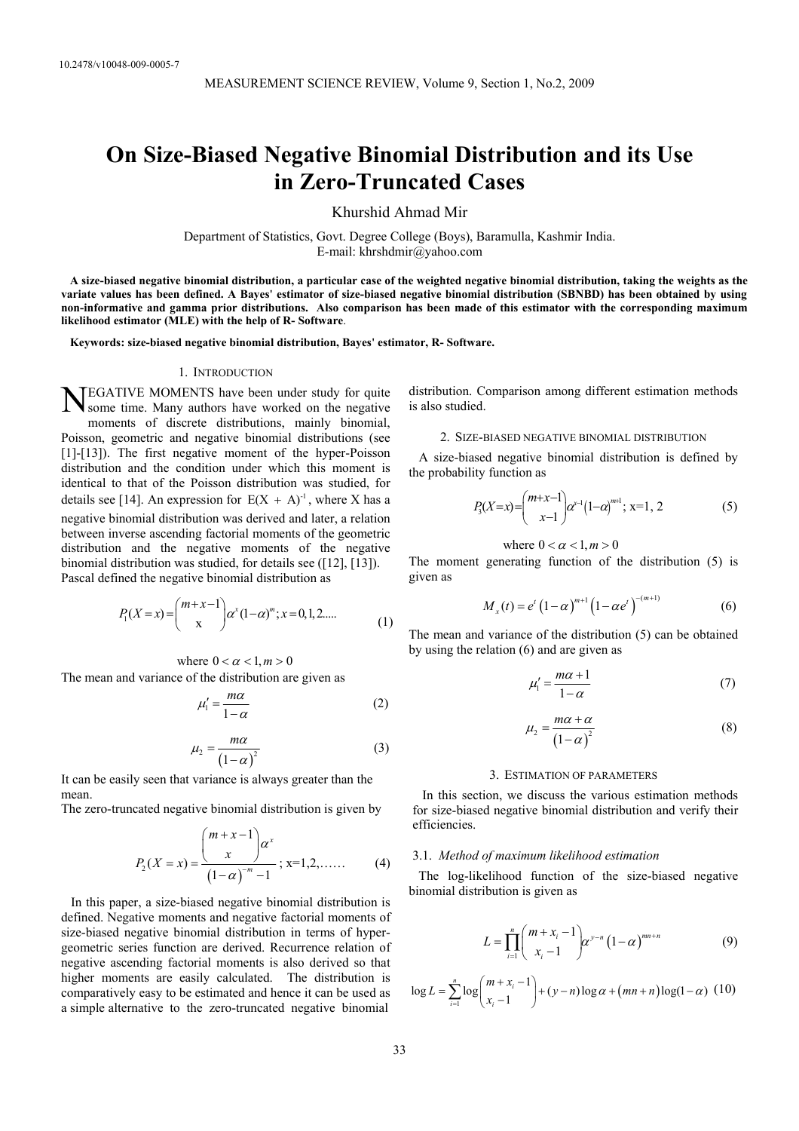# **On Size-Biased Negative Binomial Distribution and its Use in Zero-Truncated Cases**

Khurshid Ahmad Mir

Department of Statistics, Govt. Degree College (Boys), Baramulla, Kashmir India. E-mail: khrshdmir@yahoo.com

 **A size-biased negative binomial distribution, a particular case of the weighted negative binomial distribution, taking the weights as the variate values has been defined. A Bayes' estimator of size-biased negative binomial distribution (SBNBD) has been obtained by using non-informative and gamma prior distributions. Also comparison has been made of this estimator with the corresponding maximum likelihood estimator (MLE) with the help of R- Software**.

 **Keywords: size-biased negative binomial distribution, Bayes' estimator, R- Software.** 

## 1. INTRODUCTION

NEGATIVE MOMENTS have been under study for quite some time. Many authors have worked on the negative some time. Many authors have worked on the negative moments of discrete distributions, mainly binomial, Poisson, geometric and negative binomial distributions (see [1]-[13]). The first negative moment of the hyper-Poisson distribution and the condition under which this moment is identical to that of the Poisson distribution was studied, for details see [14]. An expression for  $E(X + A)^{-1}$ , where X has a negative binomial distribution was derived and later, a relation between inverse ascending factorial moments of the geometric distribution and the negative moments of the negative binomial distribution was studied, for details see ([12], [13]). Pascal defined the negative binomial distribution as

$$
P_1(X=x) = \binom{m+x-1}{x} \alpha^x (1-\alpha)^m; x = 0, 1, 2.... \tag{1}
$$

where  $0 < \alpha < 1, m > 0$ The mean and variance of the distribution are given as

$$
\mu_1' = \frac{m\alpha}{1-\alpha} \tag{2}
$$

$$
\mu_2 = \frac{m\alpha}{\left(1 - \alpha\right)^2} \tag{3}
$$

It can be easily seen that variance is always greater than the mean.

The zero-truncated negative binomial distribution is given by

$$
P_2(X = x) = \frac{\binom{m+x-1}{x} \alpha^x}{\left(1-\alpha\right)^{-m} - 1}; \, x=1,2,\dots \dots \tag{4}
$$

 In this paper, a size-biased negative binomial distribution is defined. Negative moments and negative factorial moments of size-biased negative binomial distribution in terms of hypergeometric series function are derived. Recurrence relation of negative ascending factorial moments is also derived so that higher moments are easily calculated. The distribution is comparatively easy to be estimated and hence it can be used as a simple alternative to the zero-truncated negative binomial

distribution. Comparison among different estimation methods is also studied.

#### 2. SIZE-BIASED NEGATIVE BINOMIAL DISTRIBUTION

 A size-biased negative binomial distribution is defined by the probability function as

$$
P_3(X=x) = {m+x-1 \choose x-1} \alpha^{x-1} (1-\alpha)^{m+1}; \ x=1, 2 \qquad (5)
$$

where  $0 < \alpha < 1, m > 0$ 

The moment generating function of the distribution (5) is given as

$$
M_{x}(t) = e^{t} (1 - \alpha)^{m+1} (1 - \alpha e^{t})^{-(m+1)}
$$
 (6)

The mean and variance of the distribution (5) can be obtained by using the relation (6) and are given as

$$
\mu_1' = \frac{m\alpha + 1}{1 - \alpha} \tag{7}
$$

$$
\mu_2 = \frac{m\alpha + \alpha}{\left(1 - \alpha\right)^2} \tag{8}
$$

#### 3. ESTIMATION OF PARAMETERS

 In this section, we discuss the various estimation methods for size-biased negative binomial distribution and verify their efficiencies.

#### 3.1. *Method of maximum likelihood estimation*

 The log-likelihood function of the size-biased negative binomial distribution is given as

$$
L = \prod_{i=1}^{n} {m + x_i - 1 \choose x_i - 1} \alpha^{y-n} (1 - \alpha)^{mn+n}
$$
 (9)

$$
\log L = \sum_{i=1}^{n} \log \binom{m + x_i - 1}{x_i - 1} + (y - n) \log \alpha + (mn + n) \log(1 - \alpha) \tag{10}
$$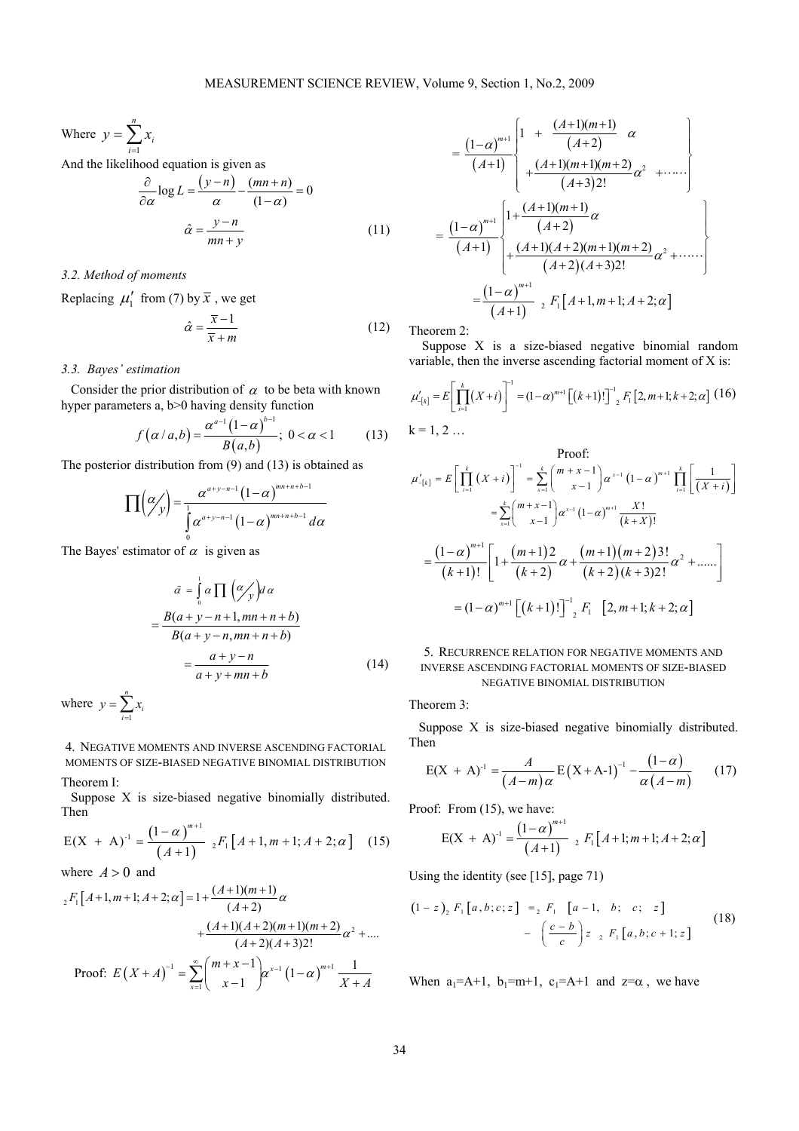Where  $y = \sum_{i=1}^{n}$  $y = \sum_{i=1}^{n} x_i$ 

And the likelihood equation is given as

$$
\frac{\partial}{\partial \alpha} \log L = \frac{(y-n)}{\alpha} - \frac{(mn+n)}{(1-\alpha)} = 0
$$

$$
\hat{\alpha} = \frac{y-n}{mn+y}
$$
(11)

## *3.2. Method of moments*

Replacing  $\mu'_1$  from (7) by  $\bar{x}$ , we get

$$
\hat{\alpha} = \frac{\overline{x} - 1}{\overline{x} + m} \tag{12}
$$

## *3.3. Bayes' estimation*

Consider the prior distribution of  $\alpha$  to be beta with known hyper parameters a, b>0 having density function

$$
f(\alpha/a,b) = \frac{\alpha^{a-1}(1-\alpha)^{b-1}}{B(a,b)}; \ 0 < \alpha < 1 \tag{13}
$$

The posterior distribution from (9) and (13) is obtained as

$$
\prod_{\substack{m \text{odd } n}} \left(\frac{\alpha}{\gamma}\right) = \frac{\alpha^{a+y-n-1} \left(1-\alpha\right)^{mn+n+b-1}}{\int_{0}^{1} \alpha^{a+y-n-1} \left(1-\alpha\right)^{mn+n+b-1} d\alpha}
$$

The Bayes' estimator of  $\alpha$  is given as

$$
\tilde{a} = \int_{0}^{1} \alpha \prod_{y} \left( \frac{\alpha}{y} \right) d\alpha
$$

$$
= \frac{B(a+y-n+1, mn+n+b)}{B(a+y-n, mn+n+b)}
$$

$$
= \frac{a+y-n}{a+y+mn+b}
$$
(14)

where  $y = \sum_{i=1}^{n}$  $\sum_{i=1}^{N_i}$  $y = \sum x$  $=\sum_{i=1}^{\infty}x_i$ 

4. NEGATIVE MOMENTS AND INVERSE ASCENDING FACTORIAL MOMENTS OF SIZE-BIASED NEGATIVE BINOMIAL DISTRIBUTION

#### Theorem I:

 Suppose X is size-biased negative binomially distributed. Then

$$
E(X + A)^{-1} = \frac{(1 - \alpha)^{m+1}}{(A+1)^{m+1}} {}_{2}F_{1}[A+1, m+1; A+2; \alpha] \quad (15)
$$

where  $A > 0$  and

$$
{}_{2}F_{1}[A+1,m+1;A+2;\alpha] = 1 + \frac{(A+1)(m+1)}{(A+2)}\alpha
$$
  
+ 
$$
\frac{(A+1)(A+2)(m+1)(m+2)}{(A+2)(A+3)2!}\alpha^{2} + ...
$$
  
Proof:  $E(X+A)^{-1} = \sum_{x=1}^{\infty} {m+x-1 \choose x-1} \alpha^{x-1} (1-\alpha)^{m+1} \frac{1}{X+A}$ 

$$
= \frac{(1-\alpha)^{m+1}}{(A+1)} \begin{cases} 1 &+ \frac{(A+1)(m+1)}{(A+2)} \alpha \\ + \frac{(A+1)(m+1)(m+2)}{(A+3)2!} \alpha^2 &+ \cdots \end{cases}
$$
\n
$$
= \frac{(1-\alpha)^{m+1}}{(A+1)} \begin{cases} 1 + \frac{(A+1)(m+1)}{(A+2)} \alpha \\ + \frac{(A+1)(A+2)(m+1)(m+2)}{(A+2)(A+3)2!} \alpha^2 + \cdots \end{cases}
$$
\n
$$
= \frac{(1-\alpha)^{m+1}}{(A+1)} \cdot F_1[A+1, m+1; A+2; \alpha]
$$

Theorem 2:

 Suppose X is a size-biased negative binomial random variable, then the inverse ascending factorial moment of X is:

$$
\mu'_{[k]} = E \left[ \prod_{i=1}^{k} (X + i) \right]^{-1} = (1 - \alpha)^{m+1} \left[ (k+1)! \right]^{-1} {}_{2}F_{1} \left[ 2, m+1; k+2; \alpha \right] (16)
$$
  
k = 1, 2 ...  
Proof:  

$$
\left[ \begin{array}{cc} k & 1 \end{array} \right]^{-1} = k \left( m + n, 1 \right)
$$

$$
\mu'_{-[k]} = E\left[\prod_{i=1}^{k} (X + i)\right]^{-1} = \sum_{x=1}^{k} {m + x - 1 \choose x - 1} \alpha^{x-1} (1 - \alpha)^{m+1} \prod_{i=1}^{k} \left[\frac{1}{(X + i)}\right]
$$

$$
= \sum_{x=1}^{k} {m + x - 1 \choose x - 1} \alpha^{x-1} (1 - \alpha)^{m+1} \frac{X!}{(k+X)!}
$$

$$
= \frac{(1 - \alpha)^{m+1}}{(k+1)!} \left[1 + \frac{(m+1)2}{(k+2)} \alpha + \frac{(m+1)(m+2)3!}{(k+2)(k+3)2!} \alpha^2 + \dots\right]
$$

$$
= (1 - \alpha)^{m+1} \left[ (k+1)! \right]^{-1} {}_{2}F_{1} \left[2, m+1; k+2; \alpha \right]
$$

5. RECURRENCE RELATION FOR NEGATIVE MOMENTS AND INVERSE ASCENDING FACTORIAL MOMENTS OF SIZE-BIASED NEGATIVE BINOMIAL DISTRIBUTION

#### Theorem 3:

 Suppose X is size-biased negative binomially distributed. Then

$$
E(X + A)^{-1} = \frac{A}{(A-m)\alpha} E(X + A-1)^{-1} - \frac{(1-\alpha)}{\alpha(A-m)}
$$
(17)

Proof: From  $(15)$ , we have:

$$
E(X + A)^{-1} = \frac{(1 - \alpha)^{m+1}}{(A+1)} \; 2 \; F_1[A+1; m+1; A+2; \alpha]
$$

Using the identity (see [15], page 71)

$$
(1-z)_{2} F_{1}[a,b;c;z] =_{2} F_{1}[a-1,b;c;z] - (\frac{c-b}{c}) z_{2} F_{1}[a,b;c+1;z]
$$
 (18)

When  $a_1 = A+1$ ,  $b_1 = m+1$ ,  $c_1 = A+1$  and  $z = \alpha$ , we have